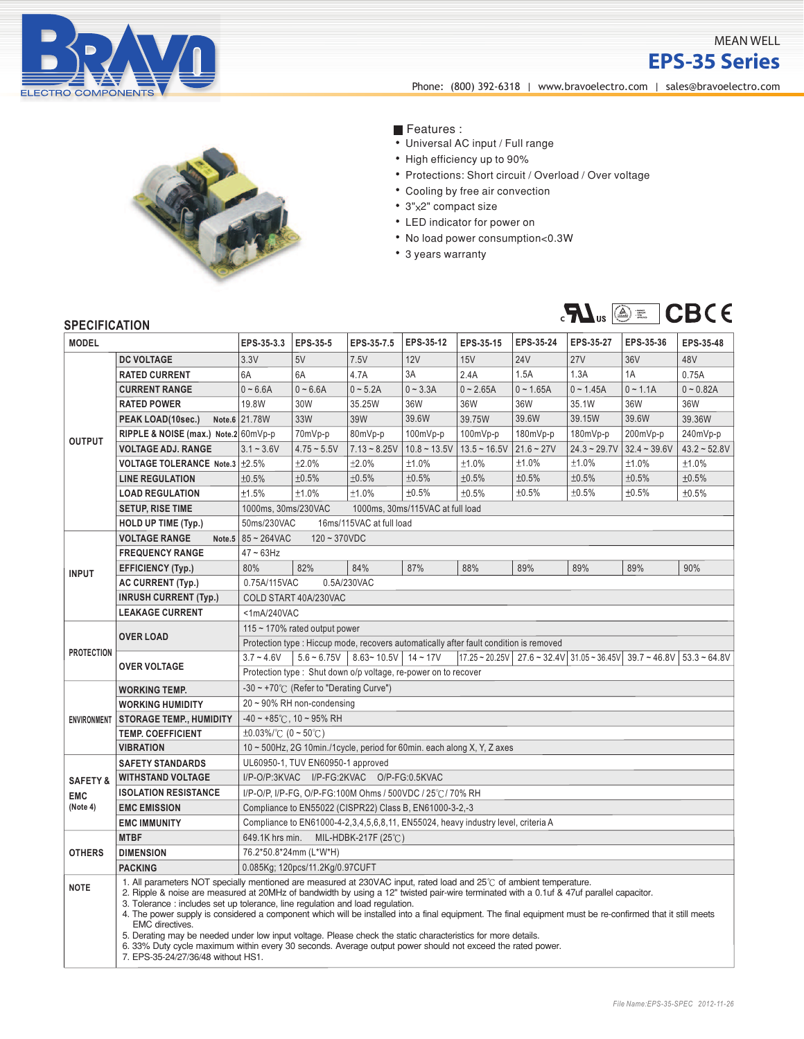

## MEAN WELL

**EPS-35 Series**

**EPSINGLEOUTPUTSWITCHING**<br>
Phone: (800) 392-6318 | www.bravoelectro.com | [sales@bravoelectro.com](mailto:sales%40bravoelectro.com?subject=)



Features :

- Universal AC input / Full range
- High efficiency up to 90%
- Protections: Short circuit / Overload / Over voltage
- Cooling by free air convection
- 3"x2" compact size
- LED indicator for power on
- No load power consumption<0.3W
- 3 years warranty



## **SPECIFICATION**

| <b>MODEL</b>        |                                                                                                                                                                                                                                                                                                                                                                                                                                                                                                                                                                                                                                                                                                                                                                                                        | EPS-35-3.3                                                                                                                                                                       | EPS-35-5                                           | EPS-35-7.5     | EPS-35-12      | EPS-35-15      | EPS-35-24    | EPS-35-27      | EPS-35-36      | EPS-35-48      |  |
|---------------------|--------------------------------------------------------------------------------------------------------------------------------------------------------------------------------------------------------------------------------------------------------------------------------------------------------------------------------------------------------------------------------------------------------------------------------------------------------------------------------------------------------------------------------------------------------------------------------------------------------------------------------------------------------------------------------------------------------------------------------------------------------------------------------------------------------|----------------------------------------------------------------------------------------------------------------------------------------------------------------------------------|----------------------------------------------------|----------------|----------------|----------------|--------------|----------------|----------------|----------------|--|
| <b>OUTPUT</b>       | <b>DC VOLTAGE</b>                                                                                                                                                                                                                                                                                                                                                                                                                                                                                                                                                                                                                                                                                                                                                                                      | 3.3V                                                                                                                                                                             | 5V                                                 | 7.5V           | 12V            | 15V            | <b>24V</b>   | <b>27V</b>     | 36V            | 48V            |  |
|                     | <b>RATED CURRENT</b>                                                                                                                                                                                                                                                                                                                                                                                                                                                                                                                                                                                                                                                                                                                                                                                   | 6A                                                                                                                                                                               | 6A                                                 | 4.7A           | 3A             | 2.4A           | 1.5A         | 1.3A           | 1A             | 0.75A          |  |
|                     | <b>CURRENT RANGE</b>                                                                                                                                                                                                                                                                                                                                                                                                                                                                                                                                                                                                                                                                                                                                                                                   | $0 - 6.6A$                                                                                                                                                                       | $0 - 6.6A$                                         | $0 - 5.2A$     | $0 - 3.3A$     | $0 - 2.65A$    | $0 - 1.65A$  | $0 - 1.45A$    | $0 - 1.1A$     | $0 - 0.82A$    |  |
|                     | <b>RATED POWER</b>                                                                                                                                                                                                                                                                                                                                                                                                                                                                                                                                                                                                                                                                                                                                                                                     | 19.8W                                                                                                                                                                            | 30W                                                | 35.25W         | 36W            | 36W            | 36W          | 35.1W          | 36W            | 36W            |  |
|                     | PEAK LOAD(10sec.)                                                                                                                                                                                                                                                                                                                                                                                                                                                                                                                                                                                                                                                                                                                                                                                      | Note.6 21.78W                                                                                                                                                                    | <b>33W</b>                                         | 39W            | 39.6W          | 39.75W         | 39.6W        | 39.15W         | 39.6W          | 39.36W         |  |
|                     | RIPPLE & NOISE (max.) Note.2 60mVp-p                                                                                                                                                                                                                                                                                                                                                                                                                                                                                                                                                                                                                                                                                                                                                                   |                                                                                                                                                                                  | 70mVp-p                                            | 80mVp-p        | $100mVp-p$     | 100mVp-p       | 180mVp-p     | 180mVp-p       | 200mVp-p       | 240mVp-p       |  |
|                     | <b>VOLTAGE ADJ. RANGE</b>                                                                                                                                                                                                                                                                                                                                                                                                                                                                                                                                                                                                                                                                                                                                                                              | $3.1 - 3.6V$                                                                                                                                                                     | $4.75 - 5.5V$                                      | $7.13 - 8.25V$ | $10.8 - 13.5V$ | $13.5 - 16.5V$ | $21.6 - 27V$ | $24.3 - 29.7V$ | $32.4 - 39.6V$ | $43.2 - 52.8V$ |  |
|                     | VOLTAGE TOLERANCE Note.3 ±2.5%                                                                                                                                                                                                                                                                                                                                                                                                                                                                                                                                                                                                                                                                                                                                                                         |                                                                                                                                                                                  | ±2.0%                                              | ±2.0%          | ±1.0%          | ±1.0%          | ±1.0%        | ±1.0%          | ±1.0%          | ±1.0%          |  |
|                     | <b>LINE REGULATION</b>                                                                                                                                                                                                                                                                                                                                                                                                                                                                                                                                                                                                                                                                                                                                                                                 | ±0.5%                                                                                                                                                                            | ±0.5%                                              | ±0.5%          | ±0.5%          | ±0.5%          | ±0.5%        | ±0.5%          | ±0.5%          | ±0.5%          |  |
|                     | <b>LOAD REGULATION</b>                                                                                                                                                                                                                                                                                                                                                                                                                                                                                                                                                                                                                                                                                                                                                                                 | ±1.5%                                                                                                                                                                            | ±1.0%                                              | ±1.0%          | ±0.5%          | ±0.5%          | ±0.5%        | ±0.5%          | ±0.5%          | ±0.5%          |  |
|                     | <b>SETUP, RISE TIME</b>                                                                                                                                                                                                                                                                                                                                                                                                                                                                                                                                                                                                                                                                                                                                                                                | 1000ms, 30ms/230VAC<br>1000ms, 30ms/115VAC at full load                                                                                                                          |                                                    |                |                |                |              |                |                |                |  |
|                     | <b>HOLD UP TIME (Typ.)</b>                                                                                                                                                                                                                                                                                                                                                                                                                                                                                                                                                                                                                                                                                                                                                                             | 50ms/230VAC<br>16ms/115VAC at full load                                                                                                                                          |                                                    |                |                |                |              |                |                |                |  |
| <b>INPUT</b>        | <b>VOLTAGE RANGE</b>                                                                                                                                                                                                                                                                                                                                                                                                                                                                                                                                                                                                                                                                                                                                                                                   | Note.5 $85 - 264$ VAC<br>$120 - 370VDC$                                                                                                                                          |                                                    |                |                |                |              |                |                |                |  |
|                     | <b>FREQUENCY RANGE</b>                                                                                                                                                                                                                                                                                                                                                                                                                                                                                                                                                                                                                                                                                                                                                                                 | $47 \sim 63$ Hz                                                                                                                                                                  |                                                    |                |                |                |              |                |                |                |  |
|                     | <b>EFFICIENCY (Typ.)</b>                                                                                                                                                                                                                                                                                                                                                                                                                                                                                                                                                                                                                                                                                                                                                                               | 80%                                                                                                                                                                              | 82%                                                | 84%            | 87%            | 88%            | 89%          | 89%            | 89%            | 90%            |  |
|                     | <b>AC CURRENT (Typ.)</b>                                                                                                                                                                                                                                                                                                                                                                                                                                                                                                                                                                                                                                                                                                                                                                               | 0.75A/115VAC<br>0.5A/230VAC                                                                                                                                                      |                                                    |                |                |                |              |                |                |                |  |
|                     | <b>INRUSH CURRENT (Typ.)</b>                                                                                                                                                                                                                                                                                                                                                                                                                                                                                                                                                                                                                                                                                                                                                                           | COLD START 40A/230VAC                                                                                                                                                            |                                                    |                |                |                |              |                |                |                |  |
|                     | <b>LEAKAGE CURRENT</b>                                                                                                                                                                                                                                                                                                                                                                                                                                                                                                                                                                                                                                                                                                                                                                                 | <1mA/240VAC                                                                                                                                                                      |                                                    |                |                |                |              |                |                |                |  |
| <b>PROTECTION</b>   | <b>OVER LOAD</b>                                                                                                                                                                                                                                                                                                                                                                                                                                                                                                                                                                                                                                                                                                                                                                                       | 115 ~ 170% rated output power                                                                                                                                                    |                                                    |                |                |                |              |                |                |                |  |
|                     |                                                                                                                                                                                                                                                                                                                                                                                                                                                                                                                                                                                                                                                                                                                                                                                                        | Protection type : Hiccup mode, recovers automatically after fault condition is removed                                                                                           |                                                    |                |                |                |              |                |                |                |  |
|                     | <b>OVER VOLTAGE</b>                                                                                                                                                                                                                                                                                                                                                                                                                                                                                                                                                                                                                                                                                                                                                                                    | $3.7 - 4.6V$<br>$5.6 - 6.75V$<br>$8.63 - 10.5V$ 14 ~ 17V<br>$17.25 \approx 20.25V$   27.6 $\approx 32.4V$   31.05 $\approx 36.45V$   39.7 $\approx 46.8V$   53.3 $\approx 64.8V$ |                                                    |                |                |                |              |                |                |                |  |
|                     |                                                                                                                                                                                                                                                                                                                                                                                                                                                                                                                                                                                                                                                                                                                                                                                                        | Protection type: Shut down o/p voltage, re-power on to recover                                                                                                                   |                                                    |                |                |                |              |                |                |                |  |
| <b>ENVIRONMENT</b>  | <b>WORKING TEMP.</b>                                                                                                                                                                                                                                                                                                                                                                                                                                                                                                                                                                                                                                                                                                                                                                                   |                                                                                                                                                                                  | $-30 \sim +70^{\circ}$ (Refer to "Derating Curve") |                |                |                |              |                |                |                |  |
|                     | <b>WORKING HUMIDITY</b>                                                                                                                                                                                                                                                                                                                                                                                                                                                                                                                                                                                                                                                                                                                                                                                | $20 \sim 90\%$ RH non-condensing                                                                                                                                                 |                                                    |                |                |                |              |                |                |                |  |
|                     | <b>STORAGE TEMP., HUMIDITY</b>                                                                                                                                                                                                                                                                                                                                                                                                                                                                                                                                                                                                                                                                                                                                                                         | $-40 \sim +85^{\circ}$ C, 10 ~ 95% RH                                                                                                                                            |                                                    |                |                |                |              |                |                |                |  |
|                     | <b>TEMP. COEFFICIENT</b>                                                                                                                                                                                                                                                                                                                                                                                                                                                                                                                                                                                                                                                                                                                                                                               | $\pm 0.03\%$ (0 ~ 50°C)                                                                                                                                                          |                                                    |                |                |                |              |                |                |                |  |
|                     | <b>VIBRATION</b>                                                                                                                                                                                                                                                                                                                                                                                                                                                                                                                                                                                                                                                                                                                                                                                       | 10 ~ 500Hz, 2G 10min./1cycle, period for 60min. each along X, Y, Z axes                                                                                                          |                                                    |                |                |                |              |                |                |                |  |
|                     | <b>SAFETY STANDARDS</b>                                                                                                                                                                                                                                                                                                                                                                                                                                                                                                                                                                                                                                                                                                                                                                                | UL60950-1, TUV EN60950-1 approved                                                                                                                                                |                                                    |                |                |                |              |                |                |                |  |
| <b>SAFETY &amp;</b> | <b>WITHSTAND VOLTAGE</b><br>I/P-O/P:3KVAC I/P-FG:2KVAC O/P-FG:0.5KVAC                                                                                                                                                                                                                                                                                                                                                                                                                                                                                                                                                                                                                                                                                                                                  |                                                                                                                                                                                  |                                                    |                |                |                |              |                |                |                |  |
| <b>EMC</b>          | <b>ISOLATION RESISTANCE</b>                                                                                                                                                                                                                                                                                                                                                                                                                                                                                                                                                                                                                                                                                                                                                                            | I/P-O/P, I/P-FG, O/P-FG:100M Ohms / 500VDC / 25°C / 70% RH                                                                                                                       |                                                    |                |                |                |              |                |                |                |  |
| (Note 4)            | <b>EMC EMISSION</b>                                                                                                                                                                                                                                                                                                                                                                                                                                                                                                                                                                                                                                                                                                                                                                                    | Compliance to EN55022 (CISPR22) Class B, EN61000-3-2,-3                                                                                                                          |                                                    |                |                |                |              |                |                |                |  |
|                     | <b>EMC IMMUNITY</b>                                                                                                                                                                                                                                                                                                                                                                                                                                                                                                                                                                                                                                                                                                                                                                                    | Compliance to EN61000-4-2,3,4,5,6,8,11, EN55024, heavy industry level, criteria A                                                                                                |                                                    |                |                |                |              |                |                |                |  |
| <b>OTHERS</b>       | <b>MTBF</b>                                                                                                                                                                                                                                                                                                                                                                                                                                                                                                                                                                                                                                                                                                                                                                                            | 649.1K hrs min.<br>MIL-HDBK-217F (25 $°C$ )                                                                                                                                      |                                                    |                |                |                |              |                |                |                |  |
|                     | <b>DIMENSION</b>                                                                                                                                                                                                                                                                                                                                                                                                                                                                                                                                                                                                                                                                                                                                                                                       | 76.2*50.8*24mm (L*W*H)                                                                                                                                                           |                                                    |                |                |                |              |                |                |                |  |
|                     | <b>PACKING</b>                                                                                                                                                                                                                                                                                                                                                                                                                                                                                                                                                                                                                                                                                                                                                                                         | 0.085Kg; 120pcs/11.2Kg/0.97CUFT                                                                                                                                                  |                                                    |                |                |                |              |                |                |                |  |
| <b>NOTE</b>         | 1. All parameters NOT specially mentioned are measured at 230VAC input, rated load and 25°C of ambient temperature.<br>2. Ripple & noise are measured at 20MHz of bandwidth by using a 12" twisted pair-wire terminated with a 0.1uf & 47uf parallel capacitor.<br>3. Tolerance : includes set up tolerance, line regulation and load regulation.<br>4. The power supply is considered a component which will be installed into a final equipment. The final equipment must be re-confirmed that it still meets<br>EMC directives.<br>5. Derating may be needed under low input voltage. Please check the static characteristics for more details.<br>6. 33% Duty cycle maximum within every 30 seconds. Average output power should not exceed the rated power.<br>7. EPS-35-24/27/36/48 without HS1. |                                                                                                                                                                                  |                                                    |                |                |                |              |                |                |                |  |